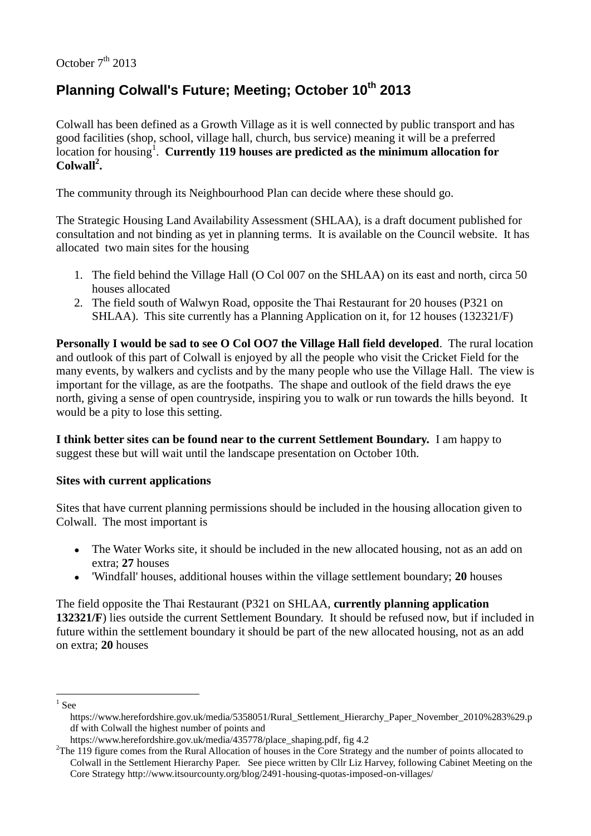## October  $7<sup>th</sup>$  2013

# **Planning Colwall's Future; Meeting; October 10th 2013**

Colwall has been defined as a Growth Village as it is well connected by public transport and has good facilities (shop, school, village hall, church, bus service) meaning it will be a preferred location for housing<sup>1</sup>. **Currently 119 houses are predicted as the minimum allocation for Colwall<sup>2</sup> .**

The community through its Neighbourhood Plan can decide where these should go.

The Strategic Housing Land Availability Assessment (SHLAA), is a draft document published for consultation and not binding as yet in planning terms. It is available on the Council website. It has allocated two main sites for the housing

- 1. The field behind the Village Hall (O Col 007 on the SHLAA) on its east and north, circa 50 houses allocated
- 2. The field south of Walwyn Road, opposite the Thai Restaurant for 20 houses (P321 on SHLAA). This site currently has a Planning Application on it, for 12 houses (132321/F)

**Personally I would be sad to see O Col OO7 the Village Hall field developed**. The rural location and outlook of this part of Colwall is enjoyed by all the people who visit the Cricket Field for the many events, by walkers and cyclists and by the many people who use the Village Hall. The view is important for the village, as are the footpaths. The shape and outlook of the field draws the eye north, giving a sense of open countryside, inspiring you to walk or run towards the hills beyond. It would be a pity to lose this setting.

**I think better sites can be found near to the current Settlement Boundary.** I am happy to suggest these but will wait until the landscape presentation on October 10th.

#### **Sites with current applications**

Sites that have current planning permissions should be included in the housing allocation given to Colwall. The most important is

- The Water Works site, it should be included in the new allocated housing, not as an add on extra; **27** houses
- 'Windfall' houses, additional houses within the village settlement boundary; **20** houses

The field opposite the Thai Restaurant (P321 on SHLAA, **currently planning application 132321/F**) lies outside the current Settlement Boundary. It should be refused now, but if included in future within the settlement boundary it should be part of the new allocated housing, not as an add on extra; **20** houses

<sup>1</sup>  $<sup>1</sup>$  See</sup>

[https://www.herefordshire.gov.uk/media/5358051/Rural\\_Settlement\\_Hierarchy\\_Paper\\_November\\_2010%283%29.p](https://www.herefordshire.gov.uk/media/5358051/Rural_Settlement_Hierarchy_Paper_November_2010%283%29.pdf) [df](https://www.herefordshire.gov.uk/media/5358051/Rural_Settlement_Hierarchy_Paper_November_2010%283%29.pdf) with Colwall the highest number of points and

[https://www.herefordshire.gov.uk/media/435778/place\\_shaping.pdf,](https://www.herefordshire.gov.uk/media/435778/place_shaping.pdf) fig 4.2

<sup>&</sup>lt;sup>2</sup>The 119 figure comes from the Rural Allocation of houses in the Core Strategy and the number of points allocated to Colwall in the Settlement Hierarchy Paper. See piece written by Cllr Liz Harvey, following Cabinet Meeting on the Core Strateg[y http://www.itsourcounty.org/blog/2491-housing-quotas-imposed-on-villages/](http://www.itsourcounty.org/blog/2491-housing-quotas-imposed-on-villages/)